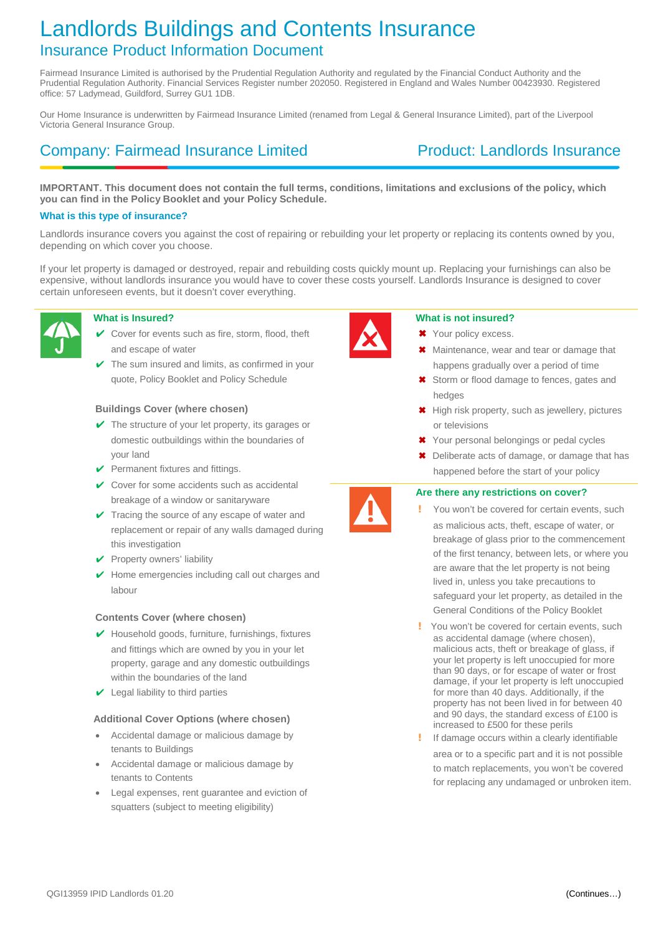# Landlords Buildings and Contents Insurance Insurance Product Information Document

Fairmead Insurance Limited is authorised by the Prudential Regulation Authority and regulated by the Financial Conduct Authority and the Prudential Regulation Authority. Financial Services Register number 202050. Registered in England and Wales Number 00423930. Registered office: 57 Ladymead, Guildford, Surrey GU1 1DB.

Our Home Insurance is underwritten by Fairmead Insurance Limited (renamed from Legal & General Insurance Limited), part of the Liverpool Victoria General Insurance Group.

## Company: Fairmead Insurance Limited Product: Landlords Insurance

**IMPORTANT. This document does not contain the full terms, conditions, limitations and exclusions of the policy, which you can find in the Policy Booklet and your Policy Schedule.**

### **What is this type of insurance?**

Landlords insurance covers you against the cost of repairing or rebuilding your let property or replacing its contents owned by you, depending on which cover you choose.

If your let property is damaged or destroyed, repair and rebuilding costs quickly mount up. Replacing your furnishings can also be expensive, without landlords insurance you would have to cover these costs yourself. Landlords Insurance is designed to cover certain unforeseen events, but it doesn't cover everything.



### **What is Insured?**

- $\checkmark$  Cover for events such as fire, storm, flood, theft and escape of water
- The sum insured and limits, as confirmed in your quote, Policy Booklet and Policy Schedule

### **Buildings Cover (where chosen)**

- $\vee$  The structure of your let property, its garages or domestic outbuildings within the boundaries of your land
- $\vee$  Permanent fixtures and fittings.
- $\vee$  Cover for some accidents such as accidental breakage of a window or sanitaryware
- $\checkmark$  Tracing the source of any escape of water and replacement or repair of any walls damaged during this investigation
- $\vee$  Property owners' liability
- $\vee$  Home emergencies including call out charges and labour

### **Contents Cover (where chosen)**

- $\vee$  Household goods, furniture, furnishings, fixtures and fittings which are owned by you in your let property, garage and any domestic outbuildings within the boundaries of the land
- $\vee$  Legal liability to third parties

### **Additional Cover Options (where chosen)**

- Accidental damage or malicious damage by tenants to Buildings
- Accidental damage or malicious damage by tenants to Contents
- Legal expenses, rent guarantee and eviction of squatters (subject to meeting eligibility)



### **What is not insured?**

- ✖ Your policy excess.
- Maintenance, wear and tear or damage that happens gradually over a period of time
- ✖ Storm or flood damage to fences, gates and hedges
- ✖ High risk property, such as jewellery, pictures or televisions
- ✖ Your personal belongings or pedal cycles
- ✖ Deliberate acts of damage, or damage that has happened before the start of your policy

### **Are there any restrictions on cover?**

- You won't be covered for certain events, such as malicious acts, theft, escape of water, or breakage of glass prior to the commencement of the first tenancy, between lets, or where you are aware that the let property is not being lived in, unless you take precautions to safeguard your let property, as detailed in the General Conditions of the Policy Booklet
- ! You won't be covered for certain events, such as accidental damage (where chosen), malicious acts, theft or breakage of glass, if your let property is left unoccupied for more than 90 days, or for escape of water or frost damage, if your let property is left unoccupied for more than 40 days. Additionally, if the property has not been lived in for between 40 and 90 days, the standard excess of £100 is increased to £500 for these perils
- ! If damage occurs within a clearly identifiable

area or to a specific part and it is not possible to match replacements, you won't be covered for replacing any undamaged or unbroken item.